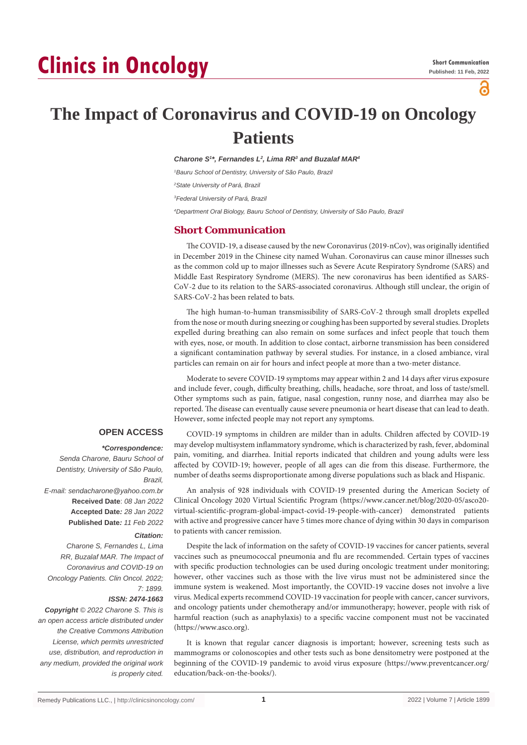# **Clinics in Oncology**

ဥ

## **The Impact of Coronavirus and COVID-19 on Oncology Patients**

*Charone S1 \*, Fernandes L2 , Lima RR3 and Buzalaf MAR4*

*1 Bauru School of Dentistry, University of São Paulo, Brazil*

*2 State University of Pará, Brazil*

*3 Federal University of Pará, Brazil*

*4 Department Oral Biology, Bauru School of Dentistry, University of São Paulo, Brazil*

### **Short Communication**

The COVID-19, a disease caused by the new Coronavirus (2019-nCov), was originally identified in December 2019 in the Chinese city named Wuhan. Coronavirus can cause minor illnesses such as the common cold up to major illnesses such as Severe Acute Respiratory Syndrome (SARS) and Middle East Respiratory Syndrome (MERS). The new coronavirus has been identified as SARS-CoV-2 due to its relation to the SARS-associated coronavirus. Although still unclear, the origin of SARS-CoV-2 has been related to bats.

The high human-to-human transmissibility of SARS-CoV-2 through small droplets expelled from the nose or mouth during sneezing or coughing has been supported by several studies. Droplets expelled during breathing can also remain on some surfaces and infect people that touch them with eyes, nose, or mouth. In addition to close contact, airborne transmission has been considered a significant contamination pathway by several studies. For instance, in a closed ambiance, viral particles can remain on air for hours and infect people at more than a two-meter distance.

Moderate to severe COVID-19 symptoms may appear within 2 and 14 days after virus exposure and include fever, cough, difficulty breathing, chills, headache, sore throat, and loss of taste/smell. Other symptoms such as pain, fatigue, nasal congestion, runny nose, and diarrhea may also be reported. The disease can eventually cause severe pneumonia or heart disease that can lead to death. However, some infected people may not report any symptoms.

#### **OPEN ACCESS**

#### *\*Correspondence:*

*Senda Charone, Bauru School of Dentistry, University of São Paulo, Brazil, E-mail: sendacharone@yahoo.com.br* **Received Date**: *08 Jan 2022* **Accepted Date***: 28 Jan 2022* **Published Date***: 11 Feb 2022*

#### *Citation:*

*Charone S, Fernandes L, Lima RR, Buzalaf MAR. The Impact of Coronavirus and COVID-19 on Oncology Patients. Clin Oncol. 2022; 7: 1899.*

*ISSN: 2474-1663*

*Copyright © 2022 Charone S. This is an open access article distributed under the Creative Commons Attribution License, which permits unrestricted use, distribution, and reproduction in any medium, provided the original work is properly cited.*

COVID-19 symptoms in children are milder than in adults. Children affected by COVID-19 may develop multisystem inflammatory syndrome, which is characterized by rash, fever, abdominal pain, vomiting, and diarrhea. Initial reports indicated that children and young adults were less affected by COVID-19; however, people of all ages can die from this disease. Furthermore, the number of deaths seems disproportionate among diverse populations such as black and Hispanic.

An analysis of 928 individuals with COVID-19 presented during the American Society of Clinical Oncology 2020 Virtual Scientific Program (https://www.cancer.net/blog/2020-05/asco20 virtual-scientific-program-global-impact-covid-19-people-with-cancer) demonstrated patients with active and progressive cancer have 5 times more chance of dying within 30 days in comparison to patients with cancer remission.

Despite the lack of information on the safety of COVID-19 vaccines for cancer patients, several vaccines such as pneumococcal pneumonia and flu are recommended. Certain types of vaccines with specific production technologies can be used during oncologic treatment under monitoring; however, other vaccines such as those with the live virus must not be administered since the immune system is weakened. Most importantly, the COVID-19 vaccine doses not involve a live virus. Medical experts recommend COVID-19 vaccination for people with cancer, cancer survivors, and oncology patients under chemotherapy and/or immunotherapy; however, people with risk of harmful reaction (such as anaphylaxis) to a specific vaccine component must not be vaccinated (https://www.asco.org).

It is known that regular cancer diagnosis is important; however, screening tests such as mammograms or colonoscopies and other tests such as bone densitometry were postponed at the beginning of the COVID-19 pandemic to avoid virus exposure (https://www.preventcancer.org/ education/back-on-the-books/).